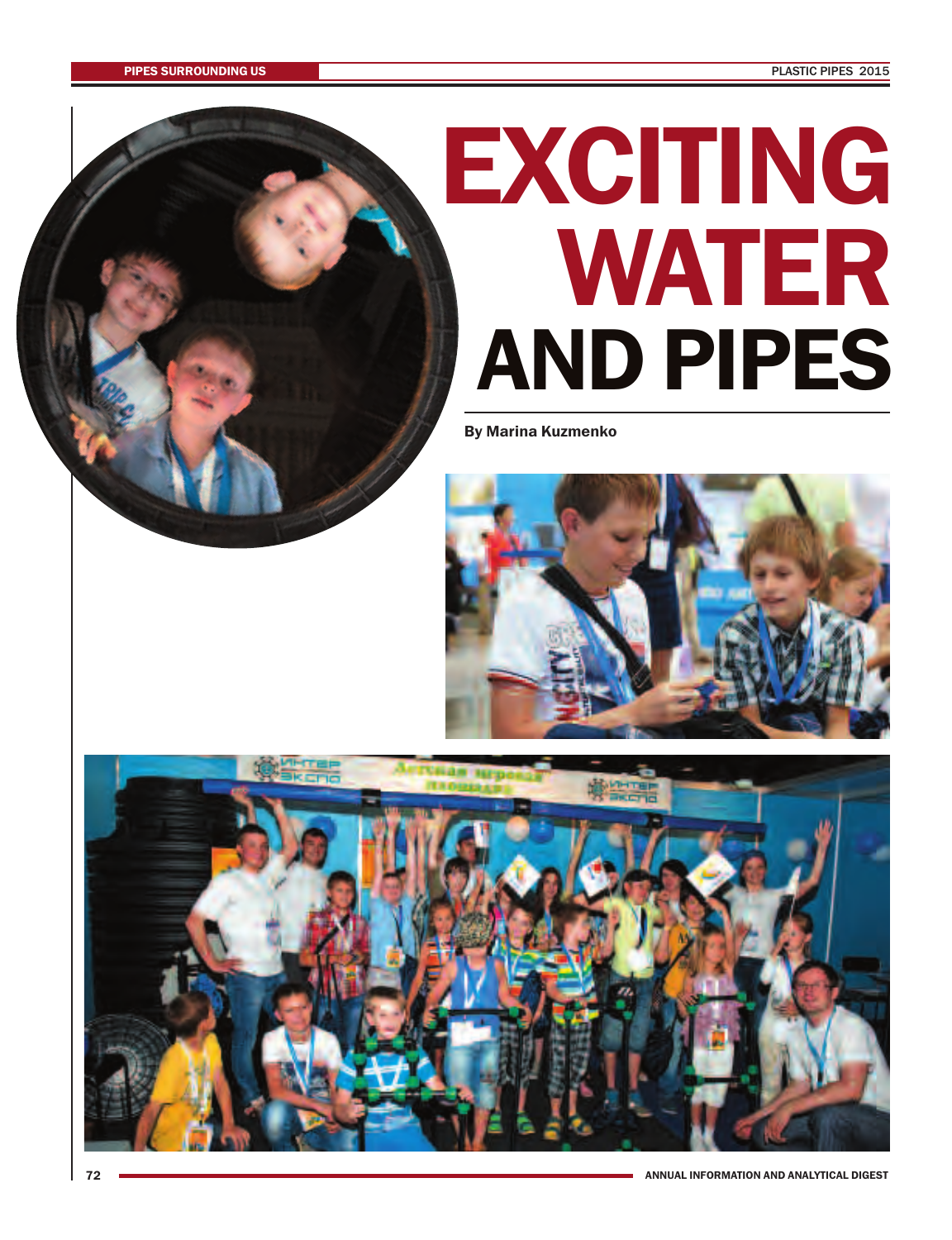## **AND PIPES EXCITING WATER**

**By Marina Kuzmenko**



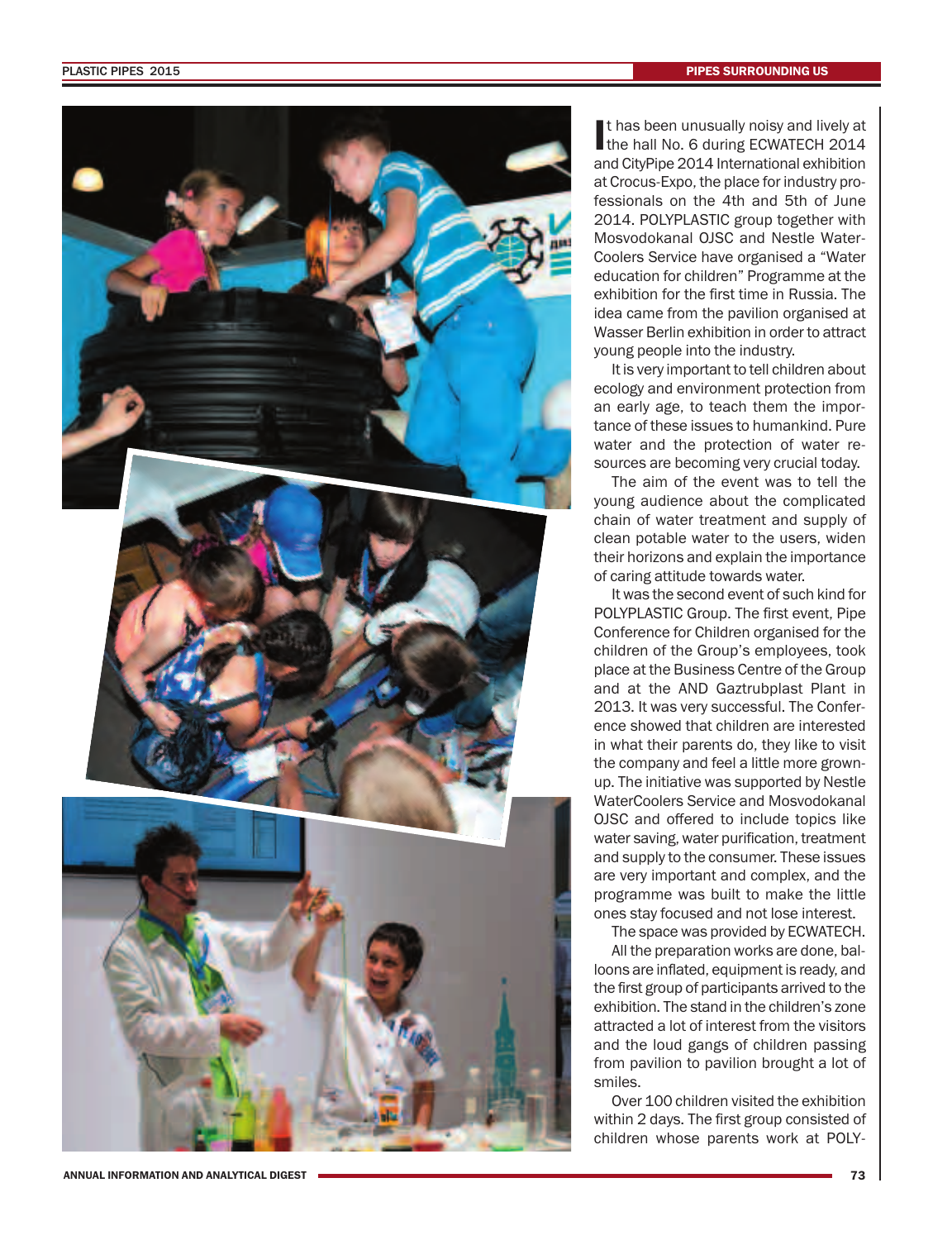

It has been unusually noisy and lively at the hall No. 6 during ECWATECH 2014 t has been unusually noisy and lively at and CityPipe 2014 International exhibition at Crocus-Expo, the place for industry professionals on the 4th and 5th of June 2014. POLYPLASTIC group together with Mosvodokanal OJSC and Nestle Water-Coolers Service have organised a "Water education for children" Programme at the exhibition for the first time in Russia. The idea came from the pavilion organised at Wasser Berlin exhibition in order to attract young people into the industry.

It is very important to tell children about ecology and environment protection from an early age, to teach them the importance of these issues to humankind. Pure water and the protection of water resources are becoming very crucial today.

The aim of the event was to tell the young audience about the complicated chain of water treatment and supply of clean potable water to the users, widen their horizons and explain the importance of caring attitude towards water.

It was the second event of such kind for POLYPLASTIC Group. The first event, Pipe Conference for Children organised for the children of the Group's employees, took place at the Business Centre of the Group and at the AND Gaztrubplast Plant in 2013. It was very successful. The Conference showed that children are interested in what their parents do, they like to visit the company and feel a little more grownup. The initiative was supported by Nestle WaterCoolers Service and Mosvodokanal OJSC and offered to include topics like water saving, water purification, treatment and supply to the consumer. These issues are very important and complex, and the programme was built to make the little ones stay focused and not lose interest.

The space was provided by ECWATECH.

All the preparation works are done, balloons are inflated, equipment is ready, and the first group of participants arrived to the exhibition. The stand in the children's zone attracted a lot of interest from the visitors and the loud gangs of children passing from pavilion to pavilion brought a lot of smiles.

Over 100 children visited the exhibition within 2 days. The first group consisted of children whose parents work at POLY-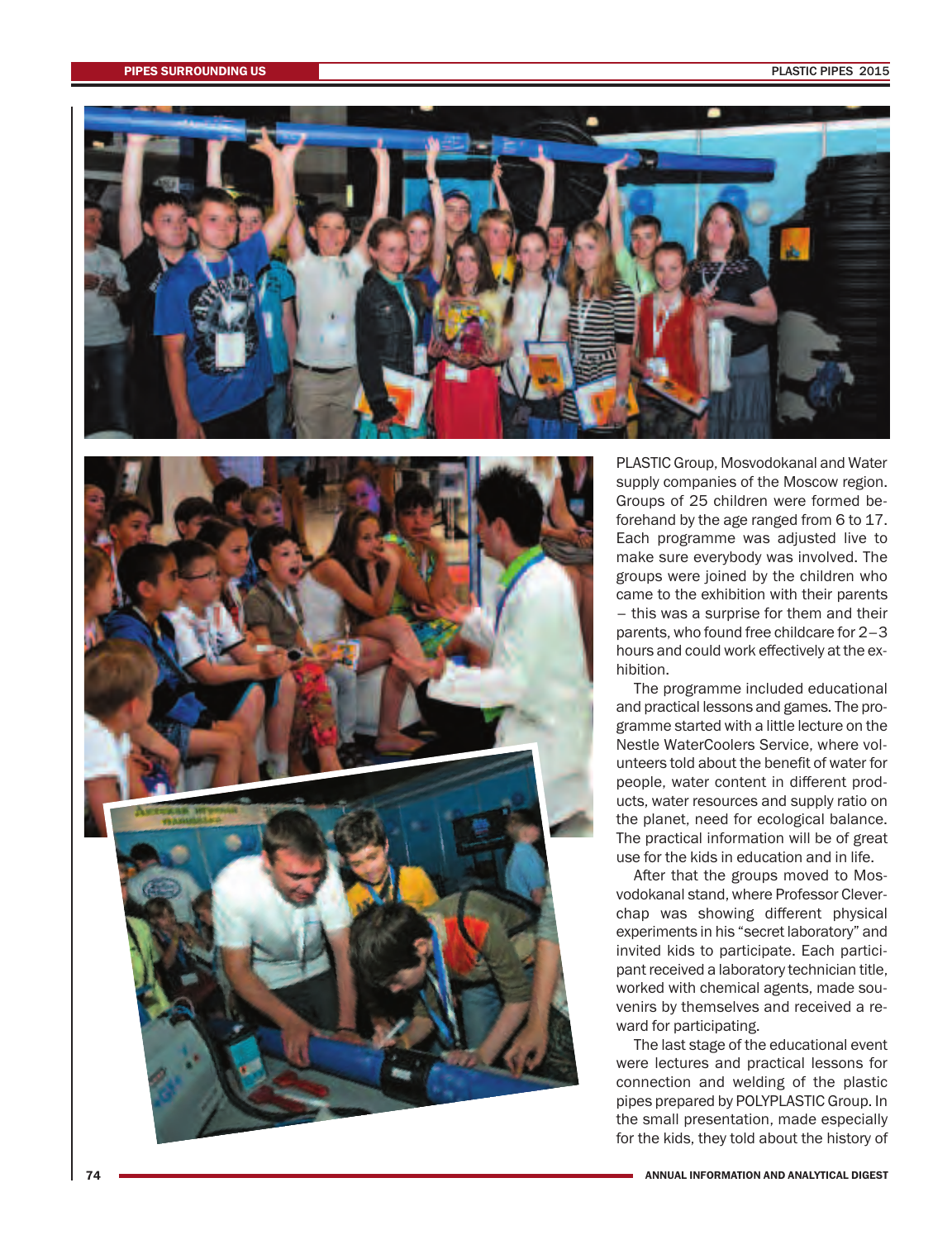



PLASTIC Group, Mosvodokanal and Water supply companies of the Moscow region. Groups of 25 children were formed beforehand by the age ranged from 6 to 17. Each programme was adjusted live to make sure everybody was involved. The groups were joined by the children who came to the exhibition with their parents – this was a surprise for them and their parents, who found free childcare for 2–3 hours and could work effectively at the exhibition.

The programme included educational and practical lessons and games. The programme started with a little lecture on the Nestle WaterCoolers Service, where volunteers told about the benefit of water for people, water content in different products, water resources and supply ratio on the planet, need for ecological balance. The practical information will be of great use for the kids in education and in life.

After that the groups moved to Mosvodokanal stand, where Professor Cleverchap was showing different physical experiments in his "secret laboratory" and invited kids to participate. Each participant received a laboratory technician title, worked with chemical agents, made souvenirs by themselves and received a reward for participating.

The last stage of the educational event were lectures and practical lessons for connection and welding of the plastic pipes prepared by POLYPLASTIC Group. In the small presentation, made especially for the kids, they told about the history of